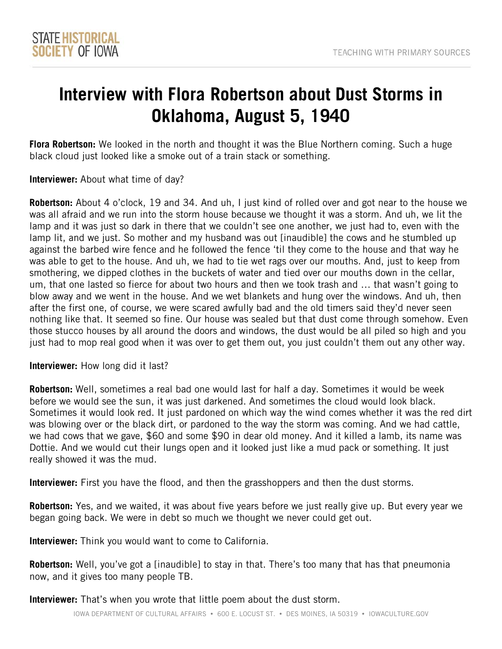## **Interview with Flora Robertson about Dust Storms in Oklahoma, August 5, 1940**

**Flora Robertson:** We looked in the north and thought it was the Blue Northern coming. Such a huge black cloud just looked like a smoke out of a train stack or something.

**Interviewer:** About what time of day?

 **Robertson:** About 4 o'clock, 19 and 34. And uh, I just kind of rolled over and got near to the house we was all afraid and we run into the storm house because we thought it was a storm. And uh, we lit the lamp lit, and we just. So mother and my husband was out [inaudible] the cows and he stumbled up against the barbed wire fence and he followed the fence 'til they come to the house and that way he was able to get to the house. And uh, we had to tie wet rags over our mouths. And, just to keep from blow away and we went in the house. And we wet blankets and hung over the windows. And uh, then after the first one, of course, we were scared awfully bad and the old timers said they'd never seen lamp and it was just so dark in there that we couldn't see one another, we just had to, even with the smothering, we dipped clothes in the buckets of water and tied over our mouths down in the cellar, um, that one lasted so fierce for about two hours and then we took trash and … that wasn't going to nothing like that. It seemed so fine. Our house was sealed but that dust come through somehow. Even those stucco houses by all around the doors and windows, the dust would be all piled so high and you just had to mop real good when it was over to get them out, you just couldn't them out any other way.

**Interviewer:** How long did it last?

 Sometimes it would look red. It just pardoned on which way the wind comes whether it was the red dirt we had cows that we gave, \$60 and some \$90 in dear old money. And it killed a lamb, its name was **Robertson:** Well, sometimes a real bad one would last for half a day. Sometimes it would be week before we would see the sun, it was just darkened. And sometimes the cloud would look black. was blowing over or the black dirt, or pardoned to the way the storm was coming. And we had cattle, Dottie. And we would cut their lungs open and it looked just like a mud pack or something. It just really showed it was the mud.

**Interviewer:** First you have the flood, and then the grasshoppers and then the dust storms.

 **Robertson:** Yes, and we waited, it was about five years before we just really give up. But every year we began going back. We were in debt so much we thought we never could get out.

**Interviewer:** Think you would want to come to California.

**Robertson:** Well, you've got a [inaudible] to stay in that. There's too many that has that pneumonia now, and it gives too many people TB.

**Interviewer:** That's when you wrote that little poem about the dust storm.